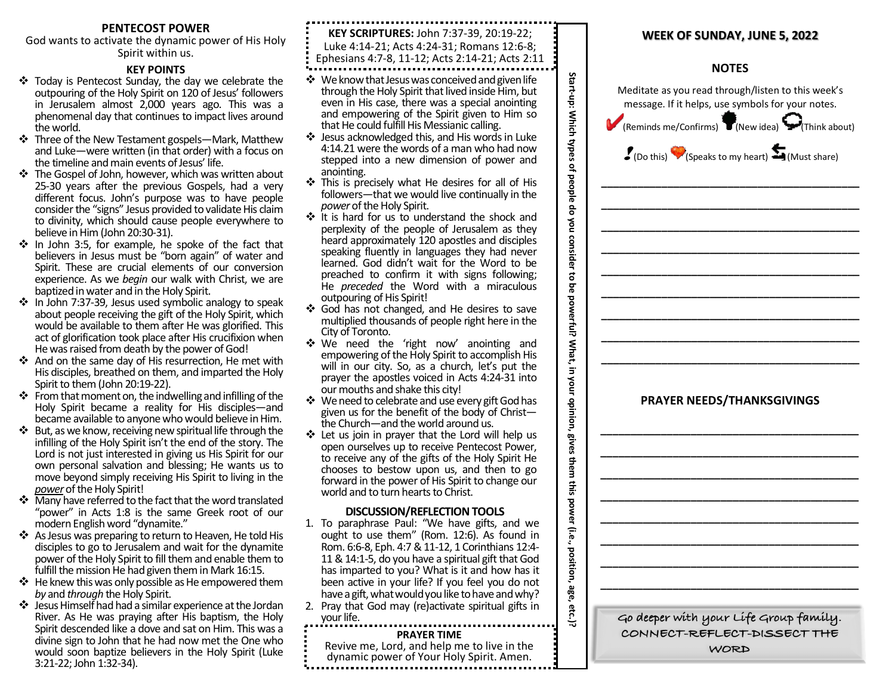# **PENTECOST POWER**

God wants to activate the dynamic power of His Holy Spirit within us.

# **KEY POINTS**

- $\div$  Today is Pentecost Sunday, the day we celebrate the outpouring of the Holy Spirit on 120 of Jesus' followers in Jerusalem almost 2,000 years ago. This was a phenomenal day that continues to impact lives around the world.
- ❖ Three of the New Testament gospels—Mark, Matthew and Luke—were written (in that order) with a focus on the timeline and main events of Jesus' life.
- ❖ The Gospel of John, however, which was written about 25-30 years after the previous Gospels, had a very different focus. John's purpose was to have people consider the "signs" Jesus provided to validate His claim to divinity, which should cause people everywhere to believe in Him (John 20:30-31).
- $\cdot$  In John 3:5, for example, he spoke of the fact that believers in Jesus must be "born again" of water and Spirit. These are crucial elements of our conversion experience. As we *begin* our walk with Christ, we are baptized in water and in the Holy Spirit.
- $\cdot$  In John 7:37-39, Jesus used symbolic analogy to speak about people receiving the gift of the Holy Spirit, which would be available to them after He was glorified. This act of glorification took place after His crucifixion when He was raised from death by the power of God!
- v And on the same day of His resurrection, He met with His disciples, breathed on them, and imparted the Holy Spirit to them (John 20:19-22).
- $\div$  From that moment on, the indwelling and infilling of the Holy Spirit became a reality for His disciples—and became available to anyone who would believe in Him.
- $\div$  But, as we know, receiving new spiritual life through the infilling of the Holy Spirit isn't the end of the story. The Lord is not just interested in giving us His Spirit for our own personal salvation and blessing; He wants us to move beyond simply receiving His Spirit to living in the *power* of the Holy Spirit!
- $\cdot$  Many have referred to the fact that the word translated "power" in Acts 1:8 is the same Greek root of our modern English word "dynamite."
- v As Jesus was preparing to return to Heaven, He told His disciples to go to Jerusalem and wait for the dynamite power of the Holy Spirit to fill them and enable them to fulfill the mission He had given them in Mark 16:15.
- $\clubsuit$  He knew this was only possible as He empowered them *by* and *through* the Holy Spirit.
- $\clubsuit$  Jesus Himself had had a similar experience at the Jordan River. As He was praying after His baptism, the Holy Spirit descended like a dove and sat on Him. This was a divine sign to John that he had now met the One who would soon baptize believers in the Holy Spirit (Luke 3:21-22; John 1:32-34).

| KEY SCRIPTURES: John 7:37-39, 20:19-22;<br><b>WEEK OF SUNDAY, JUNE 5, 2022</b><br>Luke 4:14-21; Acts 4:24-31; Romans 12:6-8;<br>Ephesians 4:7-8, 11-12; Acts 2:14-21; Acts 2:11<br><b>NOTES</b><br>Start-up: Which types of people do you consider to<br>❖ We know that Jesus was conceived and given life<br>Meditate as you read through/listen to this week's<br>through the Holy Spirit that lived inside Him, but<br>even in His case, there was a special anointing<br>message. If it helps, use symbols for your notes.<br>and empowering of the Spirit given to Him so<br>that He could fulfill His Messianic calling.<br>(Reminds me/Confirms) T (New idea)<br>Think abo<br>❖ Jesus acknowledged this, and His words in Luke<br>4:14.21 were the words of a man who had now<br>$J$ (Do this) (Speaks to my heart) $J$ (Must share)<br>stepped into a new dimension of power and<br>anointing.<br>This is precisely what He desires for all of His<br>followers-that we would live continually in the<br>power of the Holy Spirit.<br>❖ It is hard for us to understand the shock and<br>perplexity of the people of Jerusalem as they<br>heard approximately 120 apostles and disciples<br>speaking fluently in languages they had never<br>learned. God didn't wait for the Word to be<br>preached to confirm it with signs following;<br>He preceded the Word with a miraculous<br>9g<br>outpouring of His Spirit!<br>powerful? What, in your opinion, gives them this power (i.e., position, age, etc.)?<br>❖ God has not changed, and He desires to save<br>multiplied thousands of people right here in the<br>City of Toronto.<br>❖ We need the 'right now' anointing and<br>empowering of the Holy Spirit to accomplish His<br>will in our city. So, as a church, let's put the<br>prayer the apostles voiced in Acts 4:24-31 into<br>our mouths and shake this city!<br><b>PRAYER NEEDS/THANKSGIVINGS</b><br>❖ We need to celebrate and use every gift God has<br>given us for the benefit of the body of Christ-<br>the Church-and the world around us.<br>Let us join in prayer that the Lord will help us<br>open ourselves up to receive Pentecost Power,<br>to receive any of the gifts of the Holy Spirit He<br>chooses to bestow upon us, and then to go<br>forward in the power of His Spirit to change our<br>world and to turn hearts to Christ.<br><b>DISCUSSION/REFLECTION TOOLS</b><br>1. To paraphrase Paul: "We have gifts, and we<br>ought to use them" (Rom. 12:6). As found in<br>Rom. 6:6-8, Eph. 4:7 & 11-12, 1 Corinthians 12:4-<br>11 & 14:1-5, do you have a spiritual gift that God<br>has imparted to you? What is it and how has it<br>been active in your life? If you feel you do not<br>have a gift, what would you like to have and why?<br>2. Pray that God may (re)activate spiritual gifts in<br>Go deeper with your Life Group family.<br>your life.<br>CONNECT-REFLECT-DISSECT THE<br><b>PRAYER TIME</b><br>Revive me, Lord, and help me to live in the<br>WORD<br>dynamic power of Your Holy Spirit. Amen. |  |  |
|-----------------------------------------------------------------------------------------------------------------------------------------------------------------------------------------------------------------------------------------------------------------------------------------------------------------------------------------------------------------------------------------------------------------------------------------------------------------------------------------------------------------------------------------------------------------------------------------------------------------------------------------------------------------------------------------------------------------------------------------------------------------------------------------------------------------------------------------------------------------------------------------------------------------------------------------------------------------------------------------------------------------------------------------------------------------------------------------------------------------------------------------------------------------------------------------------------------------------------------------------------------------------------------------------------------------------------------------------------------------------------------------------------------------------------------------------------------------------------------------------------------------------------------------------------------------------------------------------------------------------------------------------------------------------------------------------------------------------------------------------------------------------------------------------------------------------------------------------------------------------------------------------------------------------------------------------------------------------------------------------------------------------------------------------------------------------------------------------------------------------------------------------------------------------------------------------------------------------------------------------------------------------------------------------------------------------------------------------------------------------------------------------------------------------------------------------------------------------------------------------------------------------------------------------------------------------------------------------------------------------------------------------------------------------------------------------------------------------------------------------------------------------------------------------------------------------------------------------------------------------------------------------------------------------------------------------------------------------------------------------------------------------------------------------------------------|--|--|
|                                                                                                                                                                                                                                                                                                                                                                                                                                                                                                                                                                                                                                                                                                                                                                                                                                                                                                                                                                                                                                                                                                                                                                                                                                                                                                                                                                                                                                                                                                                                                                                                                                                                                                                                                                                                                                                                                                                                                                                                                                                                                                                                                                                                                                                                                                                                                                                                                                                                                                                                                                                                                                                                                                                                                                                                                                                                                                                                                                                                                                                                 |  |  |
|                                                                                                                                                                                                                                                                                                                                                                                                                                                                                                                                                                                                                                                                                                                                                                                                                                                                                                                                                                                                                                                                                                                                                                                                                                                                                                                                                                                                                                                                                                                                                                                                                                                                                                                                                                                                                                                                                                                                                                                                                                                                                                                                                                                                                                                                                                                                                                                                                                                                                                                                                                                                                                                                                                                                                                                                                                                                                                                                                                                                                                                                 |  |  |
|                                                                                                                                                                                                                                                                                                                                                                                                                                                                                                                                                                                                                                                                                                                                                                                                                                                                                                                                                                                                                                                                                                                                                                                                                                                                                                                                                                                                                                                                                                                                                                                                                                                                                                                                                                                                                                                                                                                                                                                                                                                                                                                                                                                                                                                                                                                                                                                                                                                                                                                                                                                                                                                                                                                                                                                                                                                                                                                                                                                                                                                                 |  |  |
|                                                                                                                                                                                                                                                                                                                                                                                                                                                                                                                                                                                                                                                                                                                                                                                                                                                                                                                                                                                                                                                                                                                                                                                                                                                                                                                                                                                                                                                                                                                                                                                                                                                                                                                                                                                                                                                                                                                                                                                                                                                                                                                                                                                                                                                                                                                                                                                                                                                                                                                                                                                                                                                                                                                                                                                                                                                                                                                                                                                                                                                                 |  |  |
|                                                                                                                                                                                                                                                                                                                                                                                                                                                                                                                                                                                                                                                                                                                                                                                                                                                                                                                                                                                                                                                                                                                                                                                                                                                                                                                                                                                                                                                                                                                                                                                                                                                                                                                                                                                                                                                                                                                                                                                                                                                                                                                                                                                                                                                                                                                                                                                                                                                                                                                                                                                                                                                                                                                                                                                                                                                                                                                                                                                                                                                                 |  |  |
|                                                                                                                                                                                                                                                                                                                                                                                                                                                                                                                                                                                                                                                                                                                                                                                                                                                                                                                                                                                                                                                                                                                                                                                                                                                                                                                                                                                                                                                                                                                                                                                                                                                                                                                                                                                                                                                                                                                                                                                                                                                                                                                                                                                                                                                                                                                                                                                                                                                                                                                                                                                                                                                                                                                                                                                                                                                                                                                                                                                                                                                                 |  |  |
|                                                                                                                                                                                                                                                                                                                                                                                                                                                                                                                                                                                                                                                                                                                                                                                                                                                                                                                                                                                                                                                                                                                                                                                                                                                                                                                                                                                                                                                                                                                                                                                                                                                                                                                                                                                                                                                                                                                                                                                                                                                                                                                                                                                                                                                                                                                                                                                                                                                                                                                                                                                                                                                                                                                                                                                                                                                                                                                                                                                                                                                                 |  |  |
|                                                                                                                                                                                                                                                                                                                                                                                                                                                                                                                                                                                                                                                                                                                                                                                                                                                                                                                                                                                                                                                                                                                                                                                                                                                                                                                                                                                                                                                                                                                                                                                                                                                                                                                                                                                                                                                                                                                                                                                                                                                                                                                                                                                                                                                                                                                                                                                                                                                                                                                                                                                                                                                                                                                                                                                                                                                                                                                                                                                                                                                                 |  |  |
|                                                                                                                                                                                                                                                                                                                                                                                                                                                                                                                                                                                                                                                                                                                                                                                                                                                                                                                                                                                                                                                                                                                                                                                                                                                                                                                                                                                                                                                                                                                                                                                                                                                                                                                                                                                                                                                                                                                                                                                                                                                                                                                                                                                                                                                                                                                                                                                                                                                                                                                                                                                                                                                                                                                                                                                                                                                                                                                                                                                                                                                                 |  |  |
|                                                                                                                                                                                                                                                                                                                                                                                                                                                                                                                                                                                                                                                                                                                                                                                                                                                                                                                                                                                                                                                                                                                                                                                                                                                                                                                                                                                                                                                                                                                                                                                                                                                                                                                                                                                                                                                                                                                                                                                                                                                                                                                                                                                                                                                                                                                                                                                                                                                                                                                                                                                                                                                                                                                                                                                                                                                                                                                                                                                                                                                                 |  |  |
|                                                                                                                                                                                                                                                                                                                                                                                                                                                                                                                                                                                                                                                                                                                                                                                                                                                                                                                                                                                                                                                                                                                                                                                                                                                                                                                                                                                                                                                                                                                                                                                                                                                                                                                                                                                                                                                                                                                                                                                                                                                                                                                                                                                                                                                                                                                                                                                                                                                                                                                                                                                                                                                                                                                                                                                                                                                                                                                                                                                                                                                                 |  |  |
|                                                                                                                                                                                                                                                                                                                                                                                                                                                                                                                                                                                                                                                                                                                                                                                                                                                                                                                                                                                                                                                                                                                                                                                                                                                                                                                                                                                                                                                                                                                                                                                                                                                                                                                                                                                                                                                                                                                                                                                                                                                                                                                                                                                                                                                                                                                                                                                                                                                                                                                                                                                                                                                                                                                                                                                                                                                                                                                                                                                                                                                                 |  |  |
|                                                                                                                                                                                                                                                                                                                                                                                                                                                                                                                                                                                                                                                                                                                                                                                                                                                                                                                                                                                                                                                                                                                                                                                                                                                                                                                                                                                                                                                                                                                                                                                                                                                                                                                                                                                                                                                                                                                                                                                                                                                                                                                                                                                                                                                                                                                                                                                                                                                                                                                                                                                                                                                                                                                                                                                                                                                                                                                                                                                                                                                                 |  |  |
|                                                                                                                                                                                                                                                                                                                                                                                                                                                                                                                                                                                                                                                                                                                                                                                                                                                                                                                                                                                                                                                                                                                                                                                                                                                                                                                                                                                                                                                                                                                                                                                                                                                                                                                                                                                                                                                                                                                                                                                                                                                                                                                                                                                                                                                                                                                                                                                                                                                                                                                                                                                                                                                                                                                                                                                                                                                                                                                                                                                                                                                                 |  |  |
|                                                                                                                                                                                                                                                                                                                                                                                                                                                                                                                                                                                                                                                                                                                                                                                                                                                                                                                                                                                                                                                                                                                                                                                                                                                                                                                                                                                                                                                                                                                                                                                                                                                                                                                                                                                                                                                                                                                                                                                                                                                                                                                                                                                                                                                                                                                                                                                                                                                                                                                                                                                                                                                                                                                                                                                                                                                                                                                                                                                                                                                                 |  |  |
|                                                                                                                                                                                                                                                                                                                                                                                                                                                                                                                                                                                                                                                                                                                                                                                                                                                                                                                                                                                                                                                                                                                                                                                                                                                                                                                                                                                                                                                                                                                                                                                                                                                                                                                                                                                                                                                                                                                                                                                                                                                                                                                                                                                                                                                                                                                                                                                                                                                                                                                                                                                                                                                                                                                                                                                                                                                                                                                                                                                                                                                                 |  |  |
|                                                                                                                                                                                                                                                                                                                                                                                                                                                                                                                                                                                                                                                                                                                                                                                                                                                                                                                                                                                                                                                                                                                                                                                                                                                                                                                                                                                                                                                                                                                                                                                                                                                                                                                                                                                                                                                                                                                                                                                                                                                                                                                                                                                                                                                                                                                                                                                                                                                                                                                                                                                                                                                                                                                                                                                                                                                                                                                                                                                                                                                                 |  |  |
|                                                                                                                                                                                                                                                                                                                                                                                                                                                                                                                                                                                                                                                                                                                                                                                                                                                                                                                                                                                                                                                                                                                                                                                                                                                                                                                                                                                                                                                                                                                                                                                                                                                                                                                                                                                                                                                                                                                                                                                                                                                                                                                                                                                                                                                                                                                                                                                                                                                                                                                                                                                                                                                                                                                                                                                                                                                                                                                                                                                                                                                                 |  |  |
|                                                                                                                                                                                                                                                                                                                                                                                                                                                                                                                                                                                                                                                                                                                                                                                                                                                                                                                                                                                                                                                                                                                                                                                                                                                                                                                                                                                                                                                                                                                                                                                                                                                                                                                                                                                                                                                                                                                                                                                                                                                                                                                                                                                                                                                                                                                                                                                                                                                                                                                                                                                                                                                                                                                                                                                                                                                                                                                                                                                                                                                                 |  |  |
|                                                                                                                                                                                                                                                                                                                                                                                                                                                                                                                                                                                                                                                                                                                                                                                                                                                                                                                                                                                                                                                                                                                                                                                                                                                                                                                                                                                                                                                                                                                                                                                                                                                                                                                                                                                                                                                                                                                                                                                                                                                                                                                                                                                                                                                                                                                                                                                                                                                                                                                                                                                                                                                                                                                                                                                                                                                                                                                                                                                                                                                                 |  |  |
|                                                                                                                                                                                                                                                                                                                                                                                                                                                                                                                                                                                                                                                                                                                                                                                                                                                                                                                                                                                                                                                                                                                                                                                                                                                                                                                                                                                                                                                                                                                                                                                                                                                                                                                                                                                                                                                                                                                                                                                                                                                                                                                                                                                                                                                                                                                                                                                                                                                                                                                                                                                                                                                                                                                                                                                                                                                                                                                                                                                                                                                                 |  |  |
|                                                                                                                                                                                                                                                                                                                                                                                                                                                                                                                                                                                                                                                                                                                                                                                                                                                                                                                                                                                                                                                                                                                                                                                                                                                                                                                                                                                                                                                                                                                                                                                                                                                                                                                                                                                                                                                                                                                                                                                                                                                                                                                                                                                                                                                                                                                                                                                                                                                                                                                                                                                                                                                                                                                                                                                                                                                                                                                                                                                                                                                                 |  |  |
|                                                                                                                                                                                                                                                                                                                                                                                                                                                                                                                                                                                                                                                                                                                                                                                                                                                                                                                                                                                                                                                                                                                                                                                                                                                                                                                                                                                                                                                                                                                                                                                                                                                                                                                                                                                                                                                                                                                                                                                                                                                                                                                                                                                                                                                                                                                                                                                                                                                                                                                                                                                                                                                                                                                                                                                                                                                                                                                                                                                                                                                                 |  |  |
|                                                                                                                                                                                                                                                                                                                                                                                                                                                                                                                                                                                                                                                                                                                                                                                                                                                                                                                                                                                                                                                                                                                                                                                                                                                                                                                                                                                                                                                                                                                                                                                                                                                                                                                                                                                                                                                                                                                                                                                                                                                                                                                                                                                                                                                                                                                                                                                                                                                                                                                                                                                                                                                                                                                                                                                                                                                                                                                                                                                                                                                                 |  |  |
|                                                                                                                                                                                                                                                                                                                                                                                                                                                                                                                                                                                                                                                                                                                                                                                                                                                                                                                                                                                                                                                                                                                                                                                                                                                                                                                                                                                                                                                                                                                                                                                                                                                                                                                                                                                                                                                                                                                                                                                                                                                                                                                                                                                                                                                                                                                                                                                                                                                                                                                                                                                                                                                                                                                                                                                                                                                                                                                                                                                                                                                                 |  |  |
|                                                                                                                                                                                                                                                                                                                                                                                                                                                                                                                                                                                                                                                                                                                                                                                                                                                                                                                                                                                                                                                                                                                                                                                                                                                                                                                                                                                                                                                                                                                                                                                                                                                                                                                                                                                                                                                                                                                                                                                                                                                                                                                                                                                                                                                                                                                                                                                                                                                                                                                                                                                                                                                                                                                                                                                                                                                                                                                                                                                                                                                                 |  |  |
|                                                                                                                                                                                                                                                                                                                                                                                                                                                                                                                                                                                                                                                                                                                                                                                                                                                                                                                                                                                                                                                                                                                                                                                                                                                                                                                                                                                                                                                                                                                                                                                                                                                                                                                                                                                                                                                                                                                                                                                                                                                                                                                                                                                                                                                                                                                                                                                                                                                                                                                                                                                                                                                                                                                                                                                                                                                                                                                                                                                                                                                                 |  |  |
|                                                                                                                                                                                                                                                                                                                                                                                                                                                                                                                                                                                                                                                                                                                                                                                                                                                                                                                                                                                                                                                                                                                                                                                                                                                                                                                                                                                                                                                                                                                                                                                                                                                                                                                                                                                                                                                                                                                                                                                                                                                                                                                                                                                                                                                                                                                                                                                                                                                                                                                                                                                                                                                                                                                                                                                                                                                                                                                                                                                                                                                                 |  |  |
|                                                                                                                                                                                                                                                                                                                                                                                                                                                                                                                                                                                                                                                                                                                                                                                                                                                                                                                                                                                                                                                                                                                                                                                                                                                                                                                                                                                                                                                                                                                                                                                                                                                                                                                                                                                                                                                                                                                                                                                                                                                                                                                                                                                                                                                                                                                                                                                                                                                                                                                                                                                                                                                                                                                                                                                                                                                                                                                                                                                                                                                                 |  |  |
|                                                                                                                                                                                                                                                                                                                                                                                                                                                                                                                                                                                                                                                                                                                                                                                                                                                                                                                                                                                                                                                                                                                                                                                                                                                                                                                                                                                                                                                                                                                                                                                                                                                                                                                                                                                                                                                                                                                                                                                                                                                                                                                                                                                                                                                                                                                                                                                                                                                                                                                                                                                                                                                                                                                                                                                                                                                                                                                                                                                                                                                                 |  |  |
|                                                                                                                                                                                                                                                                                                                                                                                                                                                                                                                                                                                                                                                                                                                                                                                                                                                                                                                                                                                                                                                                                                                                                                                                                                                                                                                                                                                                                                                                                                                                                                                                                                                                                                                                                                                                                                                                                                                                                                                                                                                                                                                                                                                                                                                                                                                                                                                                                                                                                                                                                                                                                                                                                                                                                                                                                                                                                                                                                                                                                                                                 |  |  |
|                                                                                                                                                                                                                                                                                                                                                                                                                                                                                                                                                                                                                                                                                                                                                                                                                                                                                                                                                                                                                                                                                                                                                                                                                                                                                                                                                                                                                                                                                                                                                                                                                                                                                                                                                                                                                                                                                                                                                                                                                                                                                                                                                                                                                                                                                                                                                                                                                                                                                                                                                                                                                                                                                                                                                                                                                                                                                                                                                                                                                                                                 |  |  |
|                                                                                                                                                                                                                                                                                                                                                                                                                                                                                                                                                                                                                                                                                                                                                                                                                                                                                                                                                                                                                                                                                                                                                                                                                                                                                                                                                                                                                                                                                                                                                                                                                                                                                                                                                                                                                                                                                                                                                                                                                                                                                                                                                                                                                                                                                                                                                                                                                                                                                                                                                                                                                                                                                                                                                                                                                                                                                                                                                                                                                                                                 |  |  |
|                                                                                                                                                                                                                                                                                                                                                                                                                                                                                                                                                                                                                                                                                                                                                                                                                                                                                                                                                                                                                                                                                                                                                                                                                                                                                                                                                                                                                                                                                                                                                                                                                                                                                                                                                                                                                                                                                                                                                                                                                                                                                                                                                                                                                                                                                                                                                                                                                                                                                                                                                                                                                                                                                                                                                                                                                                                                                                                                                                                                                                                                 |  |  |
|                                                                                                                                                                                                                                                                                                                                                                                                                                                                                                                                                                                                                                                                                                                                                                                                                                                                                                                                                                                                                                                                                                                                                                                                                                                                                                                                                                                                                                                                                                                                                                                                                                                                                                                                                                                                                                                                                                                                                                                                                                                                                                                                                                                                                                                                                                                                                                                                                                                                                                                                                                                                                                                                                                                                                                                                                                                                                                                                                                                                                                                                 |  |  |
|                                                                                                                                                                                                                                                                                                                                                                                                                                                                                                                                                                                                                                                                                                                                                                                                                                                                                                                                                                                                                                                                                                                                                                                                                                                                                                                                                                                                                                                                                                                                                                                                                                                                                                                                                                                                                                                                                                                                                                                                                                                                                                                                                                                                                                                                                                                                                                                                                                                                                                                                                                                                                                                                                                                                                                                                                                                                                                                                                                                                                                                                 |  |  |
|                                                                                                                                                                                                                                                                                                                                                                                                                                                                                                                                                                                                                                                                                                                                                                                                                                                                                                                                                                                                                                                                                                                                                                                                                                                                                                                                                                                                                                                                                                                                                                                                                                                                                                                                                                                                                                                                                                                                                                                                                                                                                                                                                                                                                                                                                                                                                                                                                                                                                                                                                                                                                                                                                                                                                                                                                                                                                                                                                                                                                                                                 |  |  |
|                                                                                                                                                                                                                                                                                                                                                                                                                                                                                                                                                                                                                                                                                                                                                                                                                                                                                                                                                                                                                                                                                                                                                                                                                                                                                                                                                                                                                                                                                                                                                                                                                                                                                                                                                                                                                                                                                                                                                                                                                                                                                                                                                                                                                                                                                                                                                                                                                                                                                                                                                                                                                                                                                                                                                                                                                                                                                                                                                                                                                                                                 |  |  |
|                                                                                                                                                                                                                                                                                                                                                                                                                                                                                                                                                                                                                                                                                                                                                                                                                                                                                                                                                                                                                                                                                                                                                                                                                                                                                                                                                                                                                                                                                                                                                                                                                                                                                                                                                                                                                                                                                                                                                                                                                                                                                                                                                                                                                                                                                                                                                                                                                                                                                                                                                                                                                                                                                                                                                                                                                                                                                                                                                                                                                                                                 |  |  |
|                                                                                                                                                                                                                                                                                                                                                                                                                                                                                                                                                                                                                                                                                                                                                                                                                                                                                                                                                                                                                                                                                                                                                                                                                                                                                                                                                                                                                                                                                                                                                                                                                                                                                                                                                                                                                                                                                                                                                                                                                                                                                                                                                                                                                                                                                                                                                                                                                                                                                                                                                                                                                                                                                                                                                                                                                                                                                                                                                                                                                                                                 |  |  |
|                                                                                                                                                                                                                                                                                                                                                                                                                                                                                                                                                                                                                                                                                                                                                                                                                                                                                                                                                                                                                                                                                                                                                                                                                                                                                                                                                                                                                                                                                                                                                                                                                                                                                                                                                                                                                                                                                                                                                                                                                                                                                                                                                                                                                                                                                                                                                                                                                                                                                                                                                                                                                                                                                                                                                                                                                                                                                                                                                                                                                                                                 |  |  |
|                                                                                                                                                                                                                                                                                                                                                                                                                                                                                                                                                                                                                                                                                                                                                                                                                                                                                                                                                                                                                                                                                                                                                                                                                                                                                                                                                                                                                                                                                                                                                                                                                                                                                                                                                                                                                                                                                                                                                                                                                                                                                                                                                                                                                                                                                                                                                                                                                                                                                                                                                                                                                                                                                                                                                                                                                                                                                                                                                                                                                                                                 |  |  |
|                                                                                                                                                                                                                                                                                                                                                                                                                                                                                                                                                                                                                                                                                                                                                                                                                                                                                                                                                                                                                                                                                                                                                                                                                                                                                                                                                                                                                                                                                                                                                                                                                                                                                                                                                                                                                                                                                                                                                                                                                                                                                                                                                                                                                                                                                                                                                                                                                                                                                                                                                                                                                                                                                                                                                                                                                                                                                                                                                                                                                                                                 |  |  |
|                                                                                                                                                                                                                                                                                                                                                                                                                                                                                                                                                                                                                                                                                                                                                                                                                                                                                                                                                                                                                                                                                                                                                                                                                                                                                                                                                                                                                                                                                                                                                                                                                                                                                                                                                                                                                                                                                                                                                                                                                                                                                                                                                                                                                                                                                                                                                                                                                                                                                                                                                                                                                                                                                                                                                                                                                                                                                                                                                                                                                                                                 |  |  |
|                                                                                                                                                                                                                                                                                                                                                                                                                                                                                                                                                                                                                                                                                                                                                                                                                                                                                                                                                                                                                                                                                                                                                                                                                                                                                                                                                                                                                                                                                                                                                                                                                                                                                                                                                                                                                                                                                                                                                                                                                                                                                                                                                                                                                                                                                                                                                                                                                                                                                                                                                                                                                                                                                                                                                                                                                                                                                                                                                                                                                                                                 |  |  |
|                                                                                                                                                                                                                                                                                                                                                                                                                                                                                                                                                                                                                                                                                                                                                                                                                                                                                                                                                                                                                                                                                                                                                                                                                                                                                                                                                                                                                                                                                                                                                                                                                                                                                                                                                                                                                                                                                                                                                                                                                                                                                                                                                                                                                                                                                                                                                                                                                                                                                                                                                                                                                                                                                                                                                                                                                                                                                                                                                                                                                                                                 |  |  |
|                                                                                                                                                                                                                                                                                                                                                                                                                                                                                                                                                                                                                                                                                                                                                                                                                                                                                                                                                                                                                                                                                                                                                                                                                                                                                                                                                                                                                                                                                                                                                                                                                                                                                                                                                                                                                                                                                                                                                                                                                                                                                                                                                                                                                                                                                                                                                                                                                                                                                                                                                                                                                                                                                                                                                                                                                                                                                                                                                                                                                                                                 |  |  |
|                                                                                                                                                                                                                                                                                                                                                                                                                                                                                                                                                                                                                                                                                                                                                                                                                                                                                                                                                                                                                                                                                                                                                                                                                                                                                                                                                                                                                                                                                                                                                                                                                                                                                                                                                                                                                                                                                                                                                                                                                                                                                                                                                                                                                                                                                                                                                                                                                                                                                                                                                                                                                                                                                                                                                                                                                                                                                                                                                                                                                                                                 |  |  |
|                                                                                                                                                                                                                                                                                                                                                                                                                                                                                                                                                                                                                                                                                                                                                                                                                                                                                                                                                                                                                                                                                                                                                                                                                                                                                                                                                                                                                                                                                                                                                                                                                                                                                                                                                                                                                                                                                                                                                                                                                                                                                                                                                                                                                                                                                                                                                                                                                                                                                                                                                                                                                                                                                                                                                                                                                                                                                                                                                                                                                                                                 |  |  |
|                                                                                                                                                                                                                                                                                                                                                                                                                                                                                                                                                                                                                                                                                                                                                                                                                                                                                                                                                                                                                                                                                                                                                                                                                                                                                                                                                                                                                                                                                                                                                                                                                                                                                                                                                                                                                                                                                                                                                                                                                                                                                                                                                                                                                                                                                                                                                                                                                                                                                                                                                                                                                                                                                                                                                                                                                                                                                                                                                                                                                                                                 |  |  |
|                                                                                                                                                                                                                                                                                                                                                                                                                                                                                                                                                                                                                                                                                                                                                                                                                                                                                                                                                                                                                                                                                                                                                                                                                                                                                                                                                                                                                                                                                                                                                                                                                                                                                                                                                                                                                                                                                                                                                                                                                                                                                                                                                                                                                                                                                                                                                                                                                                                                                                                                                                                                                                                                                                                                                                                                                                                                                                                                                                                                                                                                 |  |  |

# **WEEK OF SUNDAY, JUNE 5, 2022**

# **NOTES**